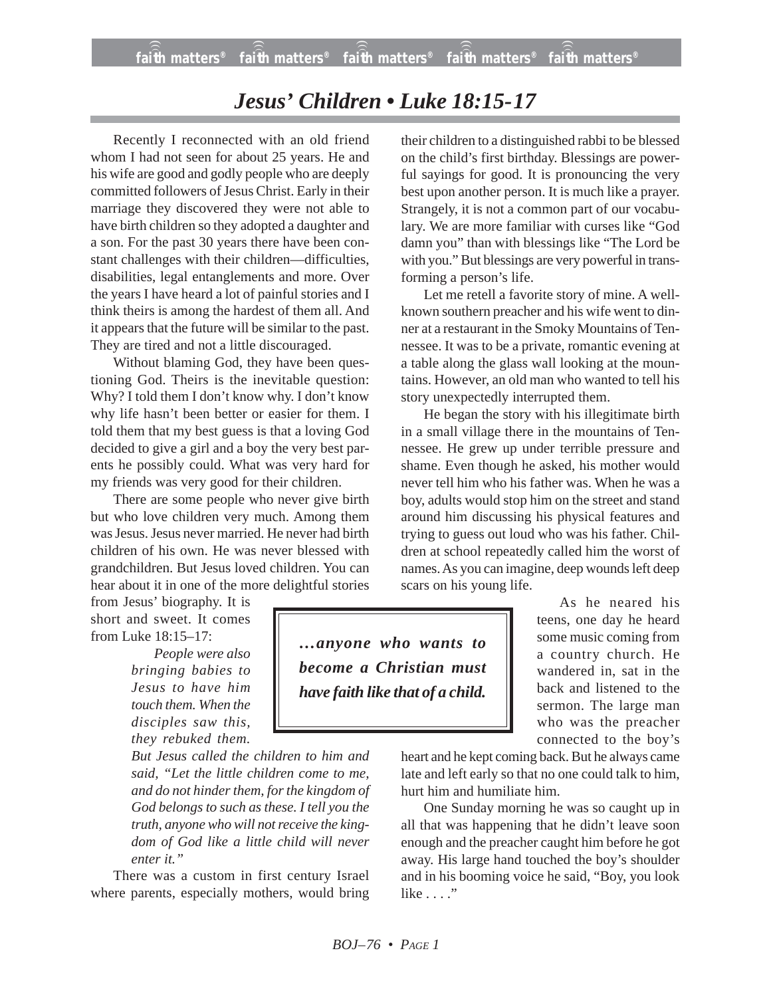## *Jesus' Children • Luke 18:15-17*

Recently I reconnected with an old friend whom I had not seen for about 25 years. He and his wife are good and godly people who are deeply committed followers of Jesus Christ. Early in their marriage they discovered they were not able to have birth children so they adopted a daughter and a son. For the past 30 years there have been constant challenges with their children—difficulties, disabilities, legal entanglements and more. Over the years I have heard a lot of painful stories and I think theirs is among the hardest of them all. And it appears that the future will be similar to the past. They are tired and not a little discouraged.

Without blaming God, they have been questioning God. Theirs is the inevitable question: Why? I told them I don't know why. I don't know why life hasn't been better or easier for them. I told them that my best guess is that a loving God decided to give a girl and a boy the very best parents he possibly could. What was very hard for my friends was very good for their children.

There are some people who never give birth but who love children very much. Among them was Jesus. Jesus never married. He never had birth children of his own. He was never blessed with grandchildren. But Jesus loved children. You can hear about it in one of the more delightful stories

from Jesus' biography. It is short and sweet. It comes from Luke 18:15–17:

> *People were also bringing babies to Jesus to have him touch them. When the disciples saw this, they rebuked them.*

*But Jesus called the children to him and said, "Let the little children come to me, and do not hinder them, for the kingdom of God belongs to such as these. I tell you the truth, anyone who will not receive the kingdom of God like a little child will never enter it."*

There was a custom in first century Israel where parents, especially mothers, would bring their children to a distinguished rabbi to be blessed on the child's first birthday. Blessings are powerful sayings for good. It is pronouncing the very best upon another person. It is much like a prayer. Strangely, it is not a common part of our vocabulary. We are more familiar with curses like "God damn you" than with blessings like "The Lord be with you." But blessings are very powerful in transforming a person's life.

Let me retell a favorite story of mine. A wellknown southern preacher and his wife went to dinner at a restaurant in the Smoky Mountains of Tennessee. It was to be a private, romantic evening at a table along the glass wall looking at the mountains. However, an old man who wanted to tell his story unexpectedly interrupted them.

He began the story with his illegitimate birth in a small village there in the mountains of Tennessee. He grew up under terrible pressure and shame. Even though he asked, his mother would never tell him who his father was. When he was a boy, adults would stop him on the street and stand around him discussing his physical features and trying to guess out loud who was his father. Children at school repeatedly called him the worst of names. As you can imagine, deep wounds left deep scars on his young life.

> As he neared his teens, one day he heard some music coming from a country church. He wandered in, sat in the back and listened to the sermon. The large man who was the preacher connected to the boy's

*…anyone who wants to become a Christian must have faith like that of a child.*

> heart and he kept coming back. But he always came late and left early so that no one could talk to him, hurt him and humiliate him.

> One Sunday morning he was so caught up in all that was happening that he didn't leave soon enough and the preacher caught him before he got away. His large hand touched the boy's shoulder and in his booming voice he said, "Boy, you look like . . . ."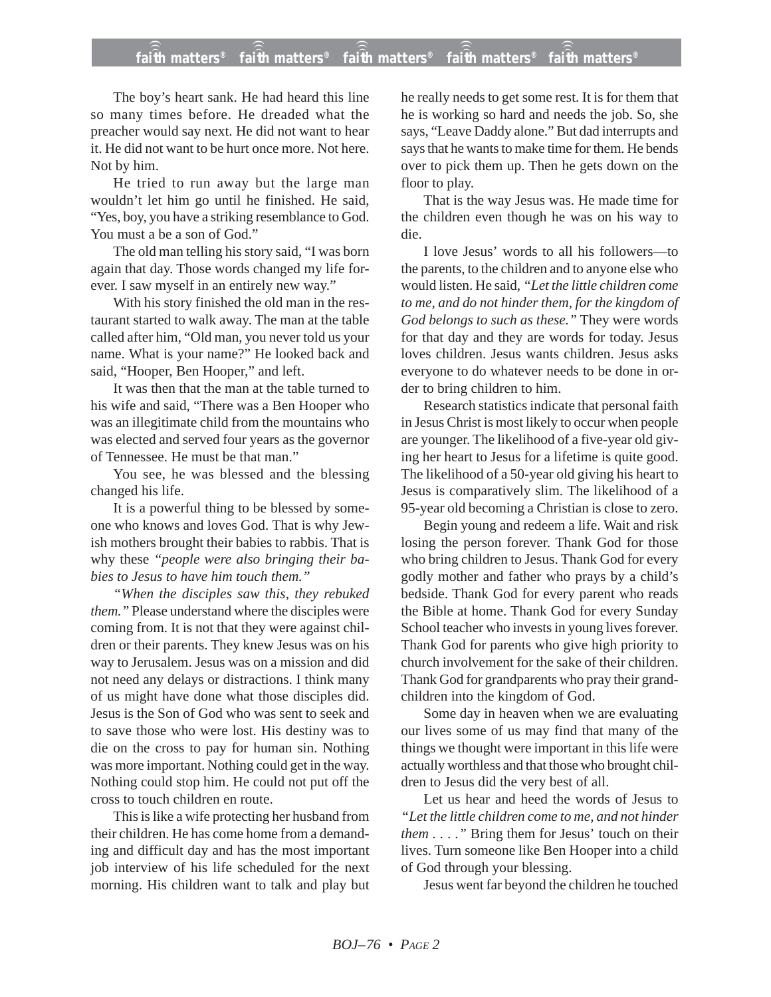## **faith matters® faith matters® faith matters® faith matters® faith matters®** ))) ))) ))) ))) )))

The boy's heart sank. He had heard this line so many times before. He dreaded what the preacher would say next. He did not want to hear it. He did not want to be hurt once more. Not here. Not by him.

He tried to run away but the large man wouldn't let him go until he finished. He said, "Yes, boy, you have a striking resemblance to God. You must a be a son of God."

The old man telling his story said, "I was born again that day. Those words changed my life forever. I saw myself in an entirely new way."

With his story finished the old man in the restaurant started to walk away. The man at the table called after him, "Old man, you never told us your name. What is your name?" He looked back and said, "Hooper, Ben Hooper," and left.

It was then that the man at the table turned to his wife and said, "There was a Ben Hooper who was an illegitimate child from the mountains who was elected and served four years as the governor of Tennessee. He must be that man."

You see, he was blessed and the blessing changed his life.

It is a powerful thing to be blessed by someone who knows and loves God. That is why Jewish mothers brought their babies to rabbis. That is why these *"people were also bringing their babies to Jesus to have him touch them."*

*"When the disciples saw this, they rebuked them."* Please understand where the disciples were coming from. It is not that they were against children or their parents. They knew Jesus was on his way to Jerusalem. Jesus was on a mission and did not need any delays or distractions. I think many of us might have done what those disciples did. Jesus is the Son of God who was sent to seek and to save those who were lost. His destiny was to die on the cross to pay for human sin. Nothing was more important. Nothing could get in the way. Nothing could stop him. He could not put off the cross to touch children en route.

This is like a wife protecting her husband from their children. He has come home from a demanding and difficult day and has the most important job interview of his life scheduled for the next morning. His children want to talk and play but

he really needs to get some rest. It is for them that he is working so hard and needs the job. So, she says, "Leave Daddy alone." But dad interrupts and says that he wants to make time for them. He bends over to pick them up. Then he gets down on the floor to play.

That is the way Jesus was. He made time for the children even though he was on his way to die.

I love Jesus' words to all his followers—to the parents, to the children and to anyone else who would listen. He said, *"Let the little children come to me, and do not hinder them, for the kingdom of God belongs to such as these."* They were words for that day and they are words for today. Jesus loves children. Jesus wants children. Jesus asks everyone to do whatever needs to be done in order to bring children to him.

Research statistics indicate that personal faith in Jesus Christ is most likely to occur when people are younger. The likelihood of a five-year old giving her heart to Jesus for a lifetime is quite good. The likelihood of a 50-year old giving his heart to Jesus is comparatively slim. The likelihood of a 95-year old becoming a Christian is close to zero.

Begin young and redeem a life. Wait and risk losing the person forever. Thank God for those who bring children to Jesus. Thank God for every godly mother and father who prays by a child's bedside. Thank God for every parent who reads the Bible at home. Thank God for every Sunday School teacher who invests in young lives forever. Thank God for parents who give high priority to church involvement for the sake of their children. Thank God for grandparents who pray their grandchildren into the kingdom of God.

Some day in heaven when we are evaluating our lives some of us may find that many of the things we thought were important in this life were actually worthless and that those who brought children to Jesus did the very best of all.

Let us hear and heed the words of Jesus to *"Let the little children come to me, and not hinder them . . . ."* Bring them for Jesus' touch on their lives. Turn someone like Ben Hooper into a child of God through your blessing.

Jesus went far beyond the children he touched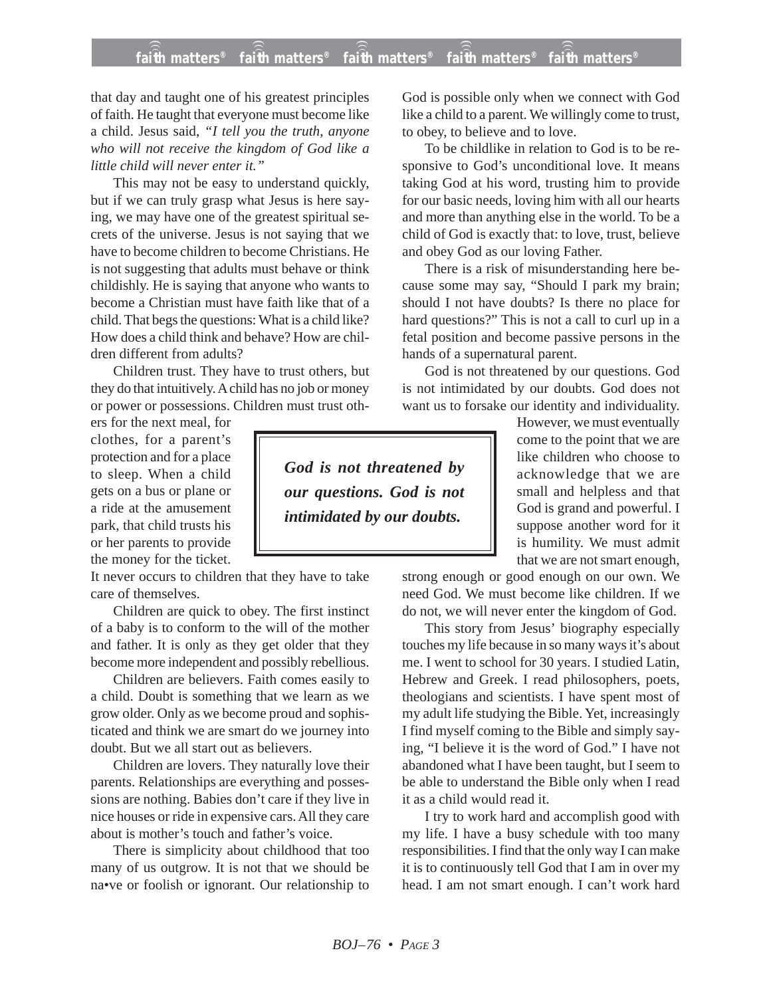## **faith matters® faith matters® faith matters® faith matters® faith matters®** ))) ))) ))) ))) )))

that day and taught one of his greatest principles of faith. He taught that everyone must become like a child. Jesus said, *"I tell you the truth, anyone who will not receive the kingdom of God like a little child will never enter it."*

This may not be easy to understand quickly, but if we can truly grasp what Jesus is here saying, we may have one of the greatest spiritual secrets of the universe. Jesus is not saying that we have to become children to become Christians. He is not suggesting that adults must behave or think childishly. He is saying that anyone who wants to become a Christian must have faith like that of a child. That begs the questions: What is a child like? How does a child think and behave? How are children different from adults?

Children trust. They have to trust others, but they do that intuitively. A child has no job or money or power or possessions. Children must trust oth-

ers for the next meal, for clothes, for a parent's protection and for a place to sleep. When a child gets on a bus or plane or a ride at the amusement park, that child trusts his or her parents to provide the money for the ticket.

It never occurs to children that they have to take care of themselves.

Children are quick to obey. The first instinct of a baby is to conform to the will of the mother and father. It is only as they get older that they become more independent and possibly rebellious.

Children are believers. Faith comes easily to a child. Doubt is something that we learn as we grow older. Only as we become proud and sophisticated and think we are smart do we journey into doubt. But we all start out as believers.

Children are lovers. They naturally love their parents. Relationships are everything and possessions are nothing. Babies don't care if they live in nice houses or ride in expensive cars. All they care about is mother's touch and father's voice.

There is simplicity about childhood that too many of us outgrow. It is not that we should be na•ve or foolish or ignorant. Our relationship to

God is possible only when we connect with God like a child to a parent. We willingly come to trust, to obey, to believe and to love.

To be childlike in relation to God is to be responsive to God's unconditional love. It means taking God at his word, trusting him to provide for our basic needs, loving him with all our hearts and more than anything else in the world. To be a child of God is exactly that: to love, trust, believe and obey God as our loving Father.

There is a risk of misunderstanding here because some may say, "Should I park my brain; should I not have doubts? Is there no place for hard questions?" This is not a call to curl up in a fetal position and become passive persons in the hands of a supernatural parent.

God is not threatened by our questions. God is not intimidated by our doubts. God does not want us to forsake our identity and individuality.

*God is not threatened by our questions. God is not intimidated by our doubts.*

However, we must eventually come to the point that we are like children who choose to acknowledge that we are small and helpless and that God is grand and powerful. I suppose another word for it is humility. We must admit that we are not smart enough,

strong enough or good enough on our own. We need God. We must become like children. If we do not, we will never enter the kingdom of God.

This story from Jesus' biography especially touches my life because in so many ways it's about me. I went to school for 30 years. I studied Latin, Hebrew and Greek. I read philosophers, poets, theologians and scientists. I have spent most of my adult life studying the Bible. Yet, increasingly I find myself coming to the Bible and simply saying, "I believe it is the word of God." I have not abandoned what I have been taught, but I seem to be able to understand the Bible only when I read it as a child would read it.

I try to work hard and accomplish good with my life. I have a busy schedule with too many responsibilities. I find that the only way I can make it is to continuously tell God that I am in over my head. I am not smart enough. I can't work hard